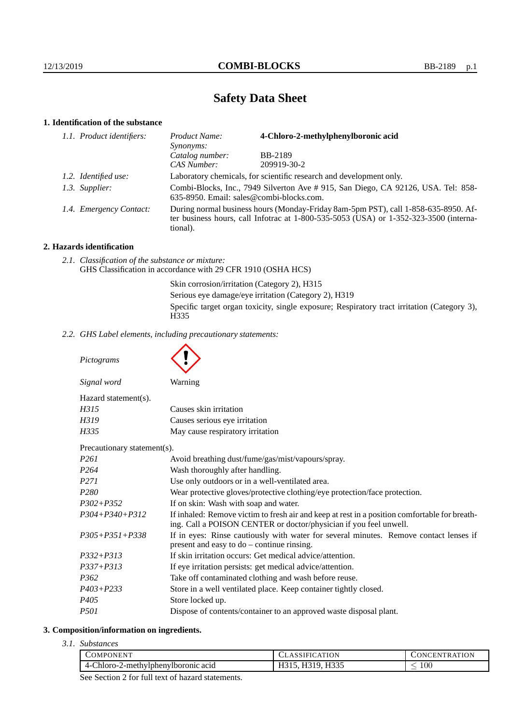# **Safety Data Sheet**

# **1. Identification of the substance**

| 1.1. Product identifiers: | Product Name:<br><i>Synonyms:</i>                                                                                                                                                           | 4-Chloro-2-methylphenylboronic acid |
|---------------------------|---------------------------------------------------------------------------------------------------------------------------------------------------------------------------------------------|-------------------------------------|
|                           | Catalog number:                                                                                                                                                                             | <b>BB-2189</b>                      |
|                           | CAS Number:                                                                                                                                                                                 | 209919-30-2                         |
| 1.2. Identified use:      | Laboratory chemicals, for scientific research and development only.                                                                                                                         |                                     |
| 1.3. Supplier:            | Combi-Blocks, Inc., 7949 Silverton Ave # 915, San Diego, CA 92126, USA. Tel: 858-<br>635-8950. Email: sales@combi-blocks.com.                                                               |                                     |
| 1.4. Emergency Contact:   | During normal business hours (Monday-Friday 8am-5pm PST), call 1-858-635-8950. Af-<br>ter business hours, call Infotrac at $1-800-535-5053$ (USA) or $1-352-323-3500$ (interna-<br>tional). |                                     |

## **2. Hazards identification**

*2.1. Classification of the substance or mixture:* GHS Classification in accordance with 29 CFR 1910 (OSHA HCS)

> Skin corrosion/irritation (Category 2), H315 Serious eye damage/eye irritation (Category 2), H319 Specific target organ toxicity, single exposure; Respiratory tract irritation (Category 3), H335

*2.2. GHS Label elements, including precautionary statements:*

*Pictograms*

|                             | $\checkmark$                                                                                                                                                       |
|-----------------------------|--------------------------------------------------------------------------------------------------------------------------------------------------------------------|
| Signal word                 | Warning                                                                                                                                                            |
| Hazard statement(s).        |                                                                                                                                                                    |
| H315                        | Causes skin irritation                                                                                                                                             |
| H319                        | Causes serious eye irritation                                                                                                                                      |
| H335                        | May cause respiratory irritation                                                                                                                                   |
| Precautionary statement(s). |                                                                                                                                                                    |
| P <sub>261</sub>            | Avoid breathing dust/fume/gas/mist/vapours/spray.                                                                                                                  |
| P <sub>264</sub>            | Wash thoroughly after handling.                                                                                                                                    |
| P <sub>271</sub>            | Use only outdoors or in a well-ventilated area.                                                                                                                    |
| P <sub>280</sub>            | Wear protective gloves/protective clothing/eye protection/face protection.                                                                                         |
| $P302 + P352$               | If on skin: Wash with soap and water.                                                                                                                              |
| $P304 + P340 + P312$        | If inhaled: Remove victim to fresh air and keep at rest in a position comfortable for breath-<br>ing. Call a POISON CENTER or doctor/physician if you feel unwell. |
| $P305 + P351 + P338$        | If in eyes: Rinse cautiously with water for several minutes. Remove contact lenses if<br>present and easy to $do$ – continue rinsing.                              |
| $P332 + P313$               | If skin irritation occurs: Get medical advice/attention.                                                                                                           |
| $P337 + P313$               | If eye irritation persists: get medical advice/attention.                                                                                                          |
| P <sub>362</sub>            | Take off contaminated clothing and wash before reuse.                                                                                                              |
| $P403 + P233$               | Store in a well ventilated place. Keep container tightly closed.                                                                                                   |
| P <sub>405</sub>            | Store locked up.                                                                                                                                                   |
| <i>P501</i>                 | Dispose of contents/container to an approved waste disposal plant.                                                                                                 |

#### **3. Composition/information on ingredients.**

*3.1. Substances*

| <b>DMPONENT</b>                          | O <sub>N</sub><br>$\Delta$ | <b>\TION</b><br><b>IN</b><br>ĸ |
|------------------------------------------|----------------------------|--------------------------------|
| 4-Chloro-2<br>2-methylphenylboronic acid | <b>H335</b><br>.           | 100 <sub>1</sub>               |
|                                          |                            |                                |

See Section 2 for full text of hazard statements.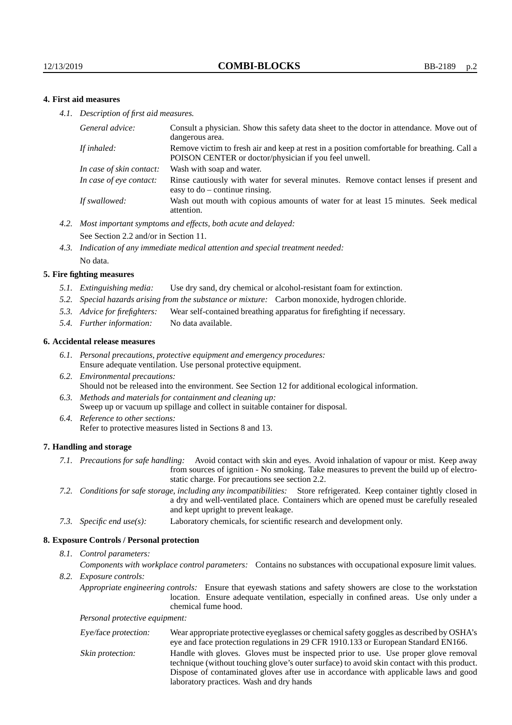## **4. First aid measures**

*4.1. Description of first aid measures.*

| General advice:          | Consult a physician. Show this safety data sheet to the doctor in attendance. Move out of<br>dangerous area.                                         |
|--------------------------|------------------------------------------------------------------------------------------------------------------------------------------------------|
| If inhaled:              | Remove victim to fresh air and keep at rest in a position comfortable for breathing. Call a<br>POISON CENTER or doctor/physician if you feel unwell. |
| In case of skin contact: | Wash with soap and water.                                                                                                                            |
| In case of eve contact:  | Rinse cautiously with water for several minutes. Remove contact lenses if present and<br>easy to $do$ – continue rinsing.                            |
| If swallowed:            | Wash out mouth with copious amounts of water for at least 15 minutes. Seek medical<br>attention.                                                     |

- *4.2. Most important symptoms and effects, both acute and delayed:* See Section 2.2 and/or in Section 11.
- *4.3. Indication of any immediate medical attention and special treatment needed:* No data.

#### **5. Fire fighting measures**

- *5.1. Extinguishing media:* Use dry sand, dry chemical or alcohol-resistant foam for extinction.
- *5.2. Special hazards arising from the substance or mixture:* Carbon monoxide, hydrogen chloride.
- *5.3. Advice for firefighters:* Wear self-contained breathing apparatus for firefighting if necessary.
- *5.4. Further information:* No data available.

#### **6. Accidental release measures**

- *6.1. Personal precautions, protective equipment and emergency procedures:* Ensure adequate ventilation. Use personal protective equipment.
- *6.2. Environmental precautions:* Should not be released into the environment. See Section 12 for additional ecological information.
- *6.3. Methods and materials for containment and cleaning up:* Sweep up or vacuum up spillage and collect in suitable container for disposal.
- *6.4. Reference to other sections:* Refer to protective measures listed in Sections 8 and 13.

#### **7. Handling and storage**

- *7.1. Precautions for safe handling:* Avoid contact with skin and eyes. Avoid inhalation of vapour or mist. Keep away from sources of ignition - No smoking. Take measures to prevent the build up of electrostatic charge. For precautions see section 2.2.
- *7.2. Conditions for safe storage, including any incompatibilities:* Store refrigerated. Keep container tightly closed in a dry and well-ventilated place. Containers which are opened must be carefully resealed and kept upright to prevent leakage.
- *7.3. Specific end use(s):* Laboratory chemicals, for scientific research and development only.

#### **8. Exposure Controls / Personal protection**

*8.1. Control parameters:*

*Components with workplace control parameters:* Contains no substances with occupational exposure limit values.

*8.2. Exposure controls:*

*Appropriate engineering controls:* Ensure that eyewash stations and safety showers are close to the workstation location. Ensure adequate ventilation, especially in confined areas. Use only under a chemical fume hood.

*Personal protective equipment:*

| Eye/face protection: | Wear appropriate protective eyeglasses or chemical safety goggles as described by OSHA's<br>eye and face protection regulations in 29 CFR 1910.133 or European Standard EN166.                                                                                                                                         |
|----------------------|------------------------------------------------------------------------------------------------------------------------------------------------------------------------------------------------------------------------------------------------------------------------------------------------------------------------|
| Skin protection:     | Handle with gloves. Gloves must be inspected prior to use. Use proper glove removal<br>technique (without touching glove's outer surface) to avoid skin contact with this product.<br>Dispose of contaminated gloves after use in accordance with applicable laws and good<br>laboratory practices. Wash and dry hands |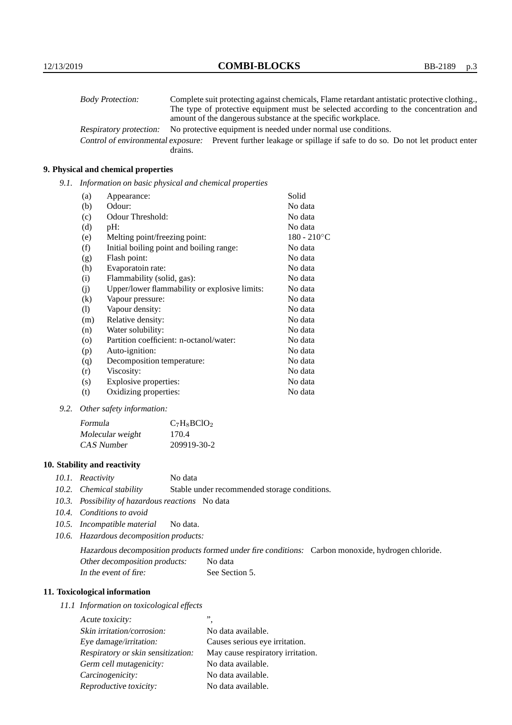| <b>Body Protection:</b> |         | Complete suit protecting against chemicals, Flame retardant antistatic protective clothing.                       |
|-------------------------|---------|-------------------------------------------------------------------------------------------------------------------|
|                         |         | The type of protective equipment must be selected according to the concentration and                              |
|                         |         | amount of the dangerous substance at the specific workplace.                                                      |
| Respiratory protection: |         | No protective equipment is needed under normal use conditions.                                                    |
|                         |         | Control of environmental exposure: Prevent further leakage or spillage if safe to do so. Do not let product enter |
|                         | drains. |                                                                                                                   |

## **9. Physical and chemical properties**

*9.1. Information on basic physical and chemical properties*

| (a)     | Appearance:                                   | Solid          |
|---------|-----------------------------------------------|----------------|
| (b)     | Odour:                                        | No data        |
| (c)     | Odour Threshold:                              | No data        |
| (d)     | pH:                                           | No data        |
| (e)     | Melting point/freezing point:                 | $180 - 210$ °C |
| (f)     | Initial boiling point and boiling range:      | No data        |
| (g)     | Flash point:                                  | No data        |
| (h)     | Evaporatoin rate:                             | No data        |
| (i)     | Flammability (solid, gas):                    | No data        |
| (j)     | Upper/lower flammability or explosive limits: | No data        |
| (k)     | Vapour pressure:                              | No data        |
| (1)     | Vapour density:                               | No data        |
| (m)     | Relative density:                             | No data        |
| (n)     | Water solubility:                             | No data        |
| $\circ$ | Partition coefficient: n-octanol/water:       | No data        |
| (p)     | Auto-ignition:                                | No data        |
| (q)     | Decomposition temperature:                    | No data        |
| (r)     | Viscosity:                                    | No data        |
| (s)     | Explosive properties:                         | No data        |
| (t)     | Oxidizing properties:                         | No data        |

*9.2. Other safety information:*

| Formula          | $C_7H_8BCIO_2$ |
|------------------|----------------|
| Molecular weight | 170.4          |
| CAS Number       | 209919-30-2    |

## **10. Stability and reactivity**

- *10.1. Reactivity* No data
- *10.2. Chemical stability* Stable under recommended storage conditions.
- *10.3. Possibility of hazardous reactions* No data
- *10.4. Conditions to avoid*
- *10.5. Incompatible material* No data.
- *10.6. Hazardous decomposition products:*

Hazardous decomposition products formed under fire conditions: Carbon monoxide, hydrogen chloride. Other decomposition products: No data In the event of fire: See Section 5.

## **11. Toxicological information**

*11.1 Information on toxicological effects*

| Acute toxicity:                    | ,,                                |
|------------------------------------|-----------------------------------|
| Skin irritation/corrosion:         | No data available.                |
| Eye damage/irritation:             | Causes serious eye irritation.    |
| Respiratory or skin sensitization: | May cause respiratory irritation. |
| Germ cell mutagenicity:            | No data available.                |
| Carcinogenicity:                   | No data available.                |
| Reproductive toxicity:             | No data available.                |